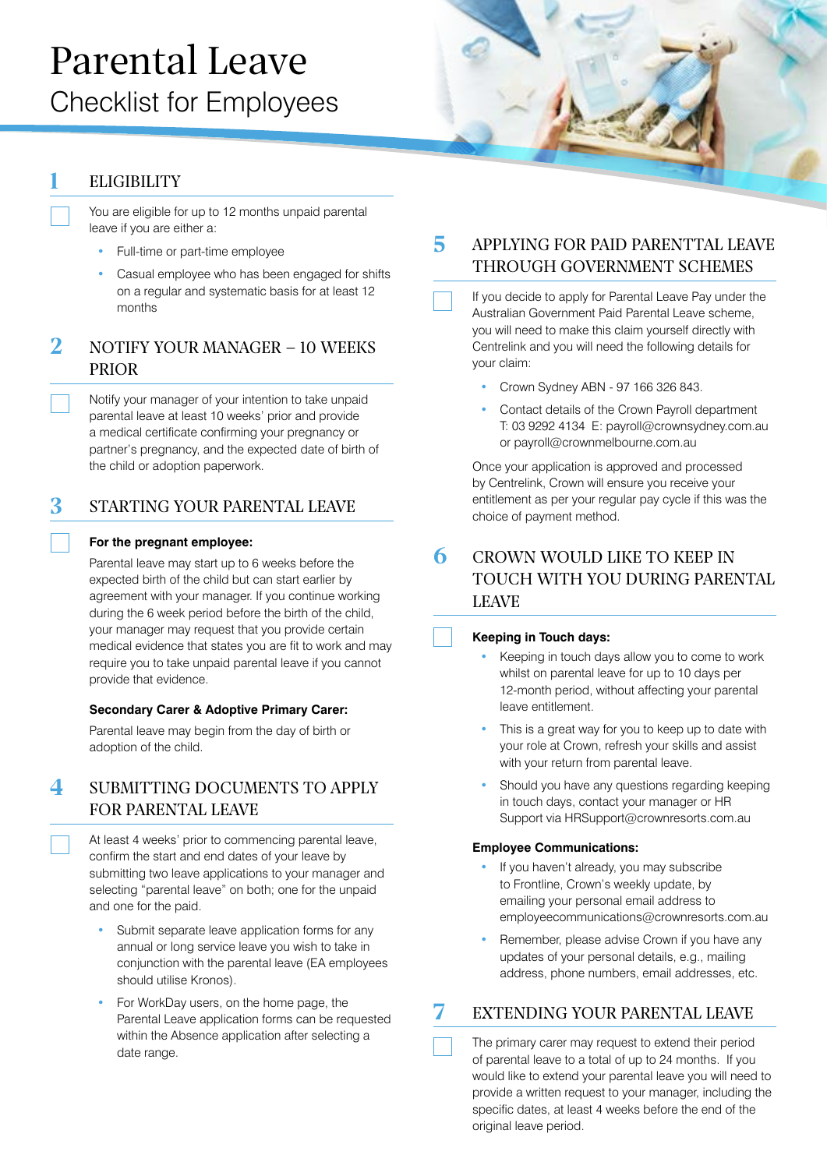# Parental Leave Checklist for Employees

# **ELIGIBILITY**

You are eligible for up to 12 months unpaid parental leave if you are either a:

- **•** Full-time or part-time employee
- **•** Casual employee who has been engaged for shifts on a regular and systematic basis for at least 12 months

## 2 NOTIFY YOUR MANAGER – 10 WEEKS PRIOR

Notify your manager of your intention to take unpaid parental leave at least 10 weeks' prior and provide a medical certificate confirming your pregnancy or partner's pregnancy, and the expected date of birth of the child or adoption paperwork.

# 3 STARTING YOUR PARENTAL LEAVE

#### **For the pregnant employee:**

Parental leave may start up to 6 weeks before the expected birth of the child but can start earlier by agreement with your manager. If you continue working during the 6 week period before the birth of the child, your manager may request that you provide certain medical evidence that states you are fit to work and may require you to take unpaid parental leave if you cannot provide that evidence.

### **Secondary Carer & Adoptive Primary Carer:**

Parental leave may begin from the day of birth or adoption of the child.

# SUBMITTING DOCUMENTS TO APPLY FOR PARENTAL LEAVE

At least 4 weeks' prior to commencing parental leave, confirm the start and end dates of your leave by submitting two leave applications to your manager and selecting "parental leave" on both; one for the unpaid and one for the paid.

- **•** Submit separate leave application forms for any annual or long service leave you wish to take in conjunction with the parental leave (EA employees should utilise Kronos).
- **•** For WorkDay users, on the home page, the Parental Leave application forms can be requested within the Absence application after selecting a date range.

# 5 APPLYING FOR PAID PARENTTAL LEAVE THROUGH GOVERNMENT SCHEMES

If you decide to apply for Parental Leave Pay under the Australian Government Paid Parental Leave scheme, you will need to make this claim yourself directly with Centrelink and you will need the following details for your claim:

- **•** Crown Sydney ABN 97 166 326 843.
- **•** Contact details of the Crown Payroll department T: 03 9292 4134 E: [payroll@crownsydney.com.au](mailto:payroll%40crownsydney.com.au?subject=) or [payroll@crownmelbourne.com.au](mailto:payroll%40crownmelbourne.com.au%20?subject=)

Once your application is approved and processed by Centrelink, Crown will ensure you receive your entitlement as per your regular pay cycle if this was the choice of payment method.

# 6 CROWN WOULD LIKE TO KEEP IN TOUCH WITH YOU DURING PARENTAL LEAVE

#### **Keeping in Touch days:**

- **•** Keeping in touch days allow you to come to work whilst on parental leave for up to 10 days per 12-month period, without affecting your parental leave entitlement.
- **•** This is a great way for you to keep up to date with your role at Crown, refresh your skills and assist with your return from parental leave.
- **•** Should you have any questions regarding keeping in touch days, contact your manager or HR Support via [HRSupport@crownresorts.com.au](mailto:HRSupport%40crownresorts.com.au?subject=)

#### **Employee Communications:**

- **•** If you haven't already, you may subscribe to Frontline, Crown's weekly update, by emailing your personal email address to employeecommunications@crownresorts.com.au
- **•** Remember, please advise Crown if you have any updates of your personal details, e.g., mailing address, phone numbers, email addresses, etc.

## EXTENDING YOUR PARENTAL LEAVE

The primary carer may request to extend their period of parental leave to a total of up to 24 months. If you would like to extend your parental leave you will need to provide a written request to your manager, including the specific dates, at least 4 weeks before the end of the original leave period.